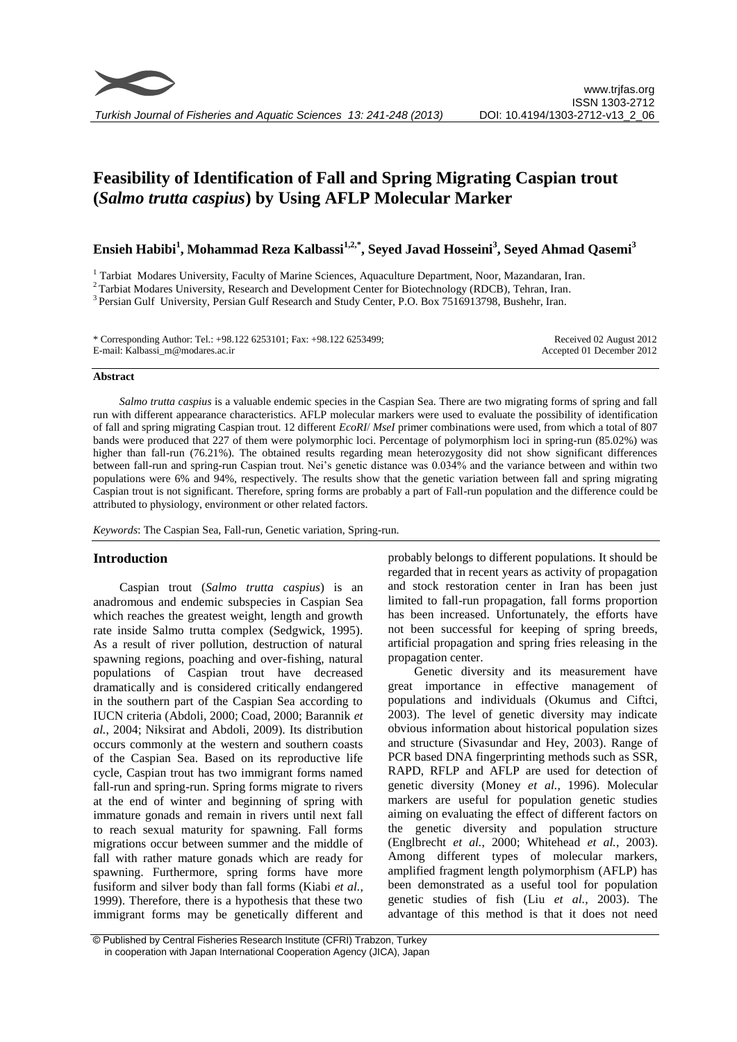

# **Feasibility of Identification of Fall and Spring Migrating Caspian trout (***Salmo trutta caspius***) by Using AFLP Molecular Marker**

# **Ensieh Habibi<sup>1</sup> , Mohammad Reza Kalbassi1,2,\*, Seyed Javad Hosseini<sup>3</sup> , Seyed Ahmad Qasemi<sup>3</sup>**

<sup>1</sup> Tarbiat Modares University, Faculty of Marine Sciences, Aquaculture Department, Noor, Mazandaran, Iran.

<sup>2</sup> Tarbiat Modares University, Research and Development Center for Biotechnology (RDCB), Tehran, Iran.

<sup>3</sup> Persian Gulf University, Persian Gulf Research and Study Center, P.O. Box 7516913798, Bushehr, Iran.

\* Corresponding Author: Tel.: +98.122 6253101; Fax: +98.122 6253499; E-mail: Kalbassi\_m@modares.ac.ir

Received 02 August 2012 Accepted 01 December 2012

#### **Abstract**

*Salmo trutta caspius* is a valuable endemic species in the Caspian Sea. There are two migrating forms of spring and fall run with different appearance characteristics. AFLP molecular markers were used to evaluate the possibility of identification of fall and spring migrating Caspian trout. 12 different *EcoRI*/ *MseI* primer combinations were used, from which a total of 807 bands were produced that 227 of them were polymorphic loci. Percentage of polymorphism loci in spring-run (85.02%) was higher than fall-run (76.21%). The obtained results regarding mean heterozygosity did not show significant differences between fall-run and spring-run Caspian trout. Nei's genetic distance was 0.034% and the variance between and within two populations were 6% and 94%, respectively. The results show that the genetic variation between fall and spring migrating Caspian trout is not significant. Therefore, spring forms are probably a part of Fall-run population and the difference could be attributed to physiology, environment or other related factors.

*Keywords*: The Caspian Sea, Fall-run, Genetic variation, Spring-run.

### **Introduction**

Caspian trout (*Salmo trutta caspius*) is an anadromous and endemic subspecies in Caspian Sea which reaches the greatest weight, length and growth rate inside Salmo trutta complex (Sedgwick, 1995). As a result of river pollution, destruction of natural spawning regions, poaching and over-fishing, natural populations of Caspian trout have decreased dramatically and is considered critically endangered in the southern part of the Caspian Sea according to IUCN criteria (Abdoli, 2000; Coad, 2000; Barannik *et al.*, 2004; Niksirat and Abdoli, 2009). Its distribution occurs commonly at the western and southern coasts of the Caspian Sea. Based on its reproductive life cycle, Caspian trout has two immigrant forms named fall-run and spring-run. Spring forms migrate to rivers at the end of winter and beginning of spring with immature gonads and remain in rivers until next fall to reach sexual maturity for spawning. Fall forms migrations occur between summer and the middle of fall with rather mature gonads which are ready for spawning. Furthermore, spring forms have more fusiform and silver body than fall forms (Kiabi *et al.*, 1999). Therefore, there is a hypothesis that these two immigrant forms may be genetically different and probably belongs to different populations. It should be regarded that in recent years as activity of propagation and stock restoration center in Iran has been just limited to fall-run propagation, fall forms proportion has been increased. Unfortunately, the efforts have not been successful for keeping of spring breeds, artificial propagation and spring fries releasing in the propagation center.

Genetic diversity and its measurement have great importance in effective management of populations and individuals (Okumus and Ciftci, 2003). The level of genetic diversity may indicate obvious information about historical population sizes and structure (Sivasundar and Hey, 2003). Range of PCR based DNA fingerprinting methods such as SSR, RAPD, RFLP and AFLP are used for detection of genetic diversity (Money *et al.*, 1996). Molecular markers are useful for population genetic studies aiming on evaluating the effect of different factors on the genetic diversity and population structure (Englbrecht *et al.*, 2000; Whitehead *et al.*, 2003). Among different types of molecular markers, amplified fragment length polymorphism (AFLP) has been demonstrated as a useful tool for population genetic studies of fish (Liu *et al.*, 2003). The advantage of this method is that it does not need

<sup>©</sup> Published by Central Fisheries Research Institute (CFRI) Trabzon, Turkey in cooperation with Japan International Cooperation Agency (JICA), Japan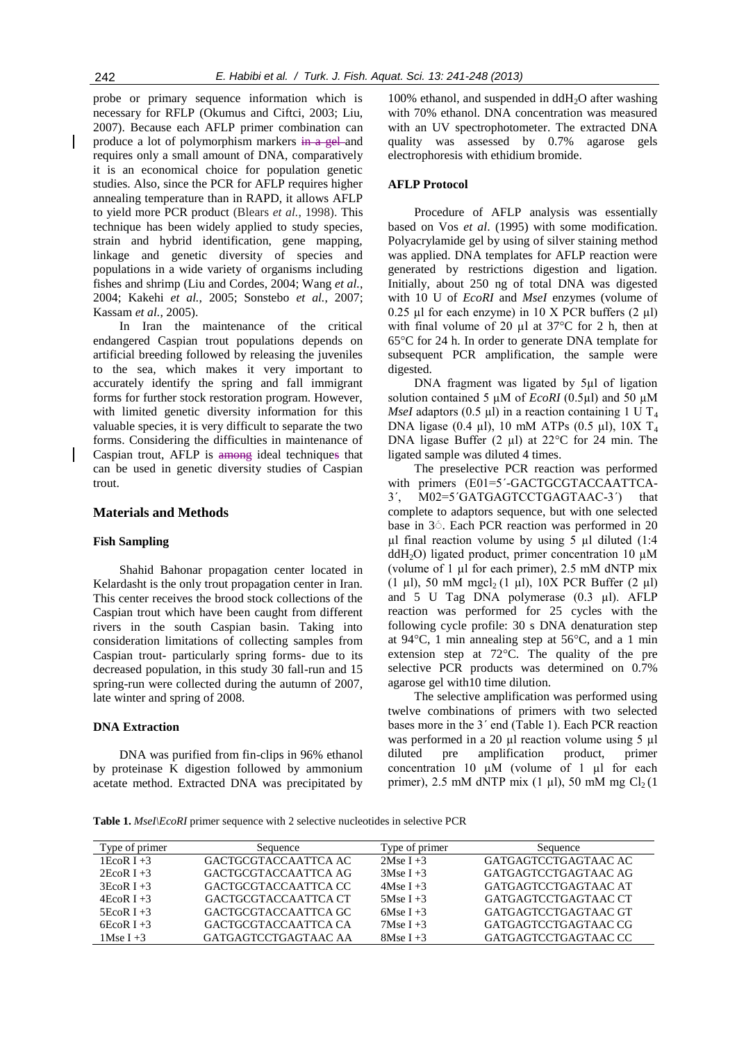probe or primary sequence information which is necessary for RFLP (Okumus and Ciftci, 2003; Liu, 2007). Because each AFLP primer combination can produce a lot of polymorphism markers in a gel and requires only a small amount of DNA, comparatively it is an economical choice for population genetic studies. Also, since the PCR for AFLP requires higher annealing temperature than in RAPD, it allows AFLP to yield more PCR product (Blears *et al.*, 1998). This technique has been widely applied to study species, strain and hybrid identification, gene mapping, linkage and genetic diversity of species and populations in a wide variety of organisms including fishes and shrimp (Liu and Cordes, 2004; Wang *et al.*, 2004; Kakehi *et al.*, 2005; Sonstebo *et al.*, 2007; Kassam *et al.*, 2005).

In Iran the maintenance of the critical endangered Caspian trout populations depends on artificial breeding followed by releasing the juveniles to the sea, which makes it very important to accurately identify the spring and fall immigrant forms for further stock restoration program. However, with limited genetic diversity information for this valuable species, it is very difficult to separate the two forms. Considering the difficulties in maintenance of Caspian trout, AFLP is among ideal techniques that can be used in genetic diversity studies of Caspian trout.

#### **Materials and Methods**

#### **Fish Sampling**

Shahid Bahonar propagation center located in Kelardasht is the only trout propagation center in Iran. This center receives the brood stock collections of the Caspian trout which have been caught from different rivers in the south Caspian basin. Taking into consideration limitations of collecting samples from Caspian trout- particularly spring forms- due to its decreased population, in this study 30 fall-run and 15 spring-run were collected during the autumn of 2007, late winter and spring of 2008.

# **DNA Extraction**

DNA was purified from fin-clips in 96% ethanol by proteinase K digestion followed by ammonium acetate method. Extracted DNA was precipitated by

100% ethanol, and suspended in  $ddH_2O$  after washing with 70% ethanol. DNA concentration was measured with an UV spectrophotometer. The extracted DNA quality was assessed by 0.7% agarose gels electrophoresis with ethidium bromide.

# **AFLP Protocol**

Procedure of AFLP analysis was essentially based on Vos *et al*. (1995) with some modification. Polyacrylamide gel by using of silver staining method was applied. DNA templates for AFLP reaction were generated by restrictions digestion and ligation. Initially, about 250 ng of total DNA was digested with 10 U of *EcoRI* and *MseI* enzymes (volume of 0.25 µl for each enzyme) in 10 X PCR buffers  $(2 \mu l)$ with final volume of 20  $\mu$ l at 37°C for 2 h, then at 65°C for 24 h. In order to generate DNA template for subsequent PCR amplification, the sample were digested.

DNA fragment was ligated by 5µl of ligation solution contained 5 µM of *EcoRI* (0.5µl) and 50 µM *MseI* adaptors (0.5  $\mu$ I) in a reaction containing 1 U T<sub>4</sub> DNA ligase (0.4 µl), 10 mM ATPs (0.5 µl), 10X T<sup>4</sup> DNA ligase Buffer (2 µl) at 22<sup>o</sup>C for 24 min. The ligated sample was diluted 4 times.

The preselective PCR reaction was performed with primers (E01=5'-GACTGCGTACCAATTCA-3´, M02=5´GATGAGTCCTGAGTAAC-3´) that complete to adaptors sequence, but with one selected base in 3<sup> $\odot$ </sup>. Each PCR reaction was performed in 20  $\mu$ l final reaction volume by using 5  $\mu$ l diluted (1:4 ddH<sub>2</sub>O) ligated product, primer concentration 10  $\mu$ M (volume of  $1 \mu l$  for each primer),  $2.5 \mu M$  dNTP mix (1 µl), 50 mM mgcl<sub>2</sub> (1 µl), 10X PCR Buffer (2 µl) and 5 U Tag DNA polymerase (0.3 µl). AFLP reaction was performed for 25 cycles with the following cycle profile: 30 s DNA denaturation step at 94°C, 1 min annealing step at 56°C, and a 1 min extension step at 72°C. The quality of the pre selective PCR products was determined on 0.7% agarose gel with10 time dilution.

The selective amplification was performed using twelve combinations of primers with two selected bases more in the 3´ end (Table 1). Each PCR reaction was performed in a 20 µl reaction volume using 5 µl diluted pre amplification product, primer concentration 10 µM (volume of 1 µl for each primer), 2.5 mM dNTP mix  $(1 \mu l)$ , 50 mM mg Cl<sub>2</sub> (1)

**Table 1.** *MseI\EcoRI* primer sequence with 2 selective nucleotides in selective PCR

| Type of primer | Sequence             | Type of primer | Sequence             |
|----------------|----------------------|----------------|----------------------|
| 1 $EcoR I + 3$ | GACTGCGTACCAATTCA AC | 2Mse I $+3$    | GATGAGTCCTGAGTAAC AC |
| $2EcoR I + 3$  | GACTGCGTACCAATTCA AG | $3$ Mse I +3   | GATGAGTCCTGAGTAAC AG |
| $3EcoR I + 3$  | GACTGCGTACCAATTCA CC | 4Mse I $+3$    | GATGAGTCCTGAGTAAC AT |
| $4EcoR I + 3$  | GACTGCGTACCAATTCA CT | 5Mse I $+3$    | GATGAGTCCTGAGTAAC CT |
| $5EcoR I + 3$  | GACTGCGTACCAATTCA GC | $6MseI + 3$    | GATGAGTCCTGAGTAAC GT |
| $6EcoR I + 3$  | GACTGCGTACCAATTCA CA | $7$ Mse I +3   | GATGAGTCCTGAGTAAC CG |
| 1Mse I $+3$    | GATGAGTCCTGAGTAAC AA | 8Mse I $+3$    | GATGAGTCCTGAGTAAC CC |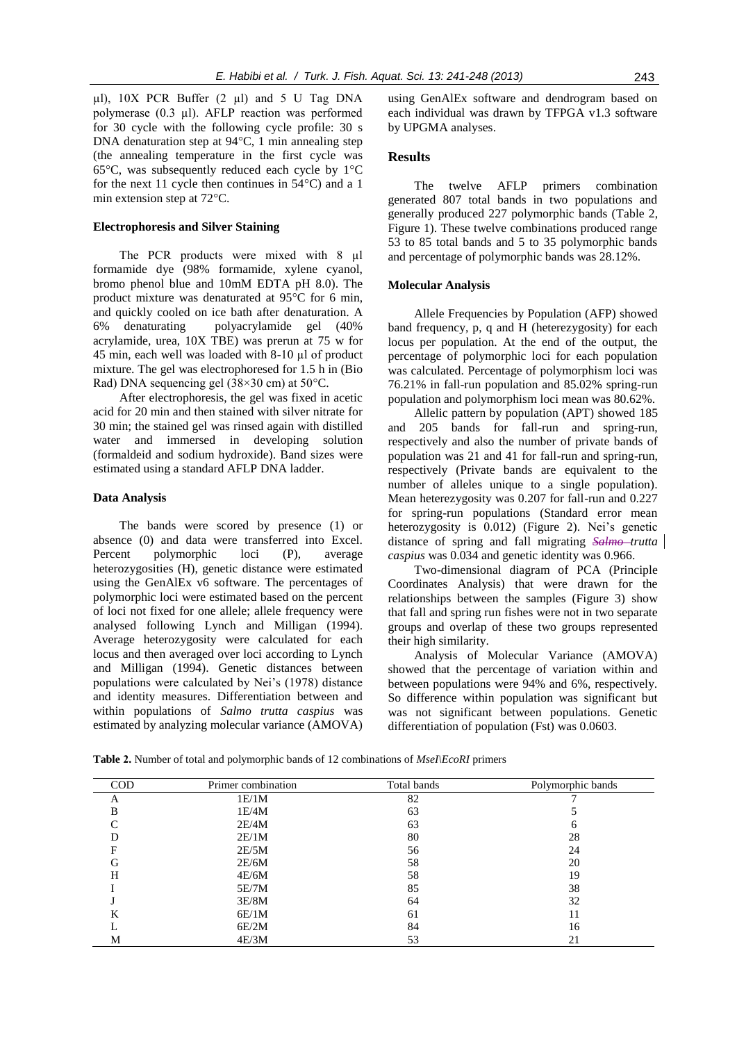$\mu$ l), 10X PCR Buffer (2  $\mu$ l) and 5 U Tag DNA polymerase (0.3 µl). AFLP reaction was performed for 30 cycle with the following cycle profile: 30 s DNA denaturation step at 94°C, 1 min annealing step (the annealing temperature in the first cycle was 65°C, was subsequently reduced each cycle by 1°C for the next 11 cycle then continues in 54°C) and a 1 min extension step at 72°C.

#### **Electrophoresis and Silver Staining**

The PCR products were mixed with 8  $\mu$ l formamide dye (98% formamide, xylene cyanol, bromo phenol blue and 10mM EDTA pH 8.0). The product mixture was denaturated at 95°C for 6 min, and quickly cooled on ice bath after denaturation. A 6% denaturating polyacrylamide gel (40% acrylamide, urea, 10X TBE) was prerun at 75 w for 45 min, each well was loaded with 8-10 µl of product mixture. The gel was electrophoresed for 1.5 h in (Bio Rad) DNA sequencing gel (38×30 cm) at 50°C.

After electrophoresis, the gel was fixed in acetic acid for 20 min and then stained with silver nitrate for 30 min; the stained gel was rinsed again with distilled water and immersed in developing solution (formaldeid and sodium hydroxide). Band sizes were estimated using a standard AFLP DNA ladder.

#### **Data Analysis**

The bands were scored by presence (1) or absence (0) and data were transferred into Excel. Percent polymorphic loci (P), average heterozygosities (H), genetic distance were estimated using the GenAlEx v6 software. The percentages of polymorphic loci were estimated based on the percent of loci not fixed for one allele; allele frequency were analysed following Lynch and Milligan (1994). Average heterozygosity were calculated for each locus and then averaged over loci according to Lynch and Milligan (1994). Genetic distances between populations were calculated by Nei's (1978) distance and identity measures. Differentiation between and within populations of *Salmo trutta caspius* was estimated by analyzing molecular variance (AMOVA)

using GenAlEx software and dendrogram based on each individual was drawn by TFPGA v1.3 software by UPGMA analyses.

## **Results**

The twelve AFLP primers combination generated 807 total bands in two populations and generally produced 227 polymorphic bands (Table 2, Figure 1). These twelve combinations produced range 53 to 85 total bands and 5 to 35 polymorphic bands and percentage of polymorphic bands was 28.12%.

#### **Molecular Analysis**

Allele Frequencies by Population (AFP) showed band frequency, p, q and H (heterezygosity) for each locus per population. At the end of the output, the percentage of polymorphic loci for each population was calculated. Percentage of polymorphism loci was 76.21% in fall-run population and 85.02% spring-run population and polymorphism loci mean was 80.62%.

Allelic pattern by population (APT) showed 185 and 205 bands for fall-run and spring-run, respectively and also the number of private bands of population was 21 and 41 for fall-run and spring-run, respectively (Private bands are equivalent to the number of alleles unique to a single population). Mean heterezygosity was 0.207 for fall-run and 0.227 for spring-run populations (Standard error mean heterozygosity is 0.012) (Figure 2). Nei's genetic distance of spring and fall migrating *Salmo trutta caspius* was 0.034 and genetic identity was 0.966.

Two-dimensional diagram of PCA (Principle Coordinates Analysis) that were drawn for the relationships between the samples (Figure 3) show that fall and spring run fishes were not in two separate groups and overlap of these two groups represented their high similarity.

Analysis of Molecular Variance (AMOVA) showed that the percentage of variation within and between populations were 94% and 6%, respectively. So difference within population was significant but was not significant between populations. Genetic differentiation of population (Fst) was 0.0603.

**Table 2.** Number of total and polymorphic bands of 12 combinations of *MseI\EcoRI* primers

| <b>COD</b> | Primer combination | Total bands | Polymorphic bands |
|------------|--------------------|-------------|-------------------|
| A          | 1E/1M              | 82          |                   |
| B          | 1E/4M              | 63          |                   |
| ⌒          | 2E/4M              | 63          | <sub>6</sub>      |
|            | 2E/1M              | 80          | 28                |
| F          | 2E/5M              | 56          | 24                |
| G          | 2E/6M              | 58          | 20                |
| H          | 4E/6M              | 58          | 19                |
|            | 5E/7M              | 85          | 38                |
|            | 3E/8M              | 64          | 32                |
| K          | 6E/1M              | 61          | 11                |
|            | 6E/2M              | 84          | 16                |
| M          | 4E/3M              | 53          | 21                |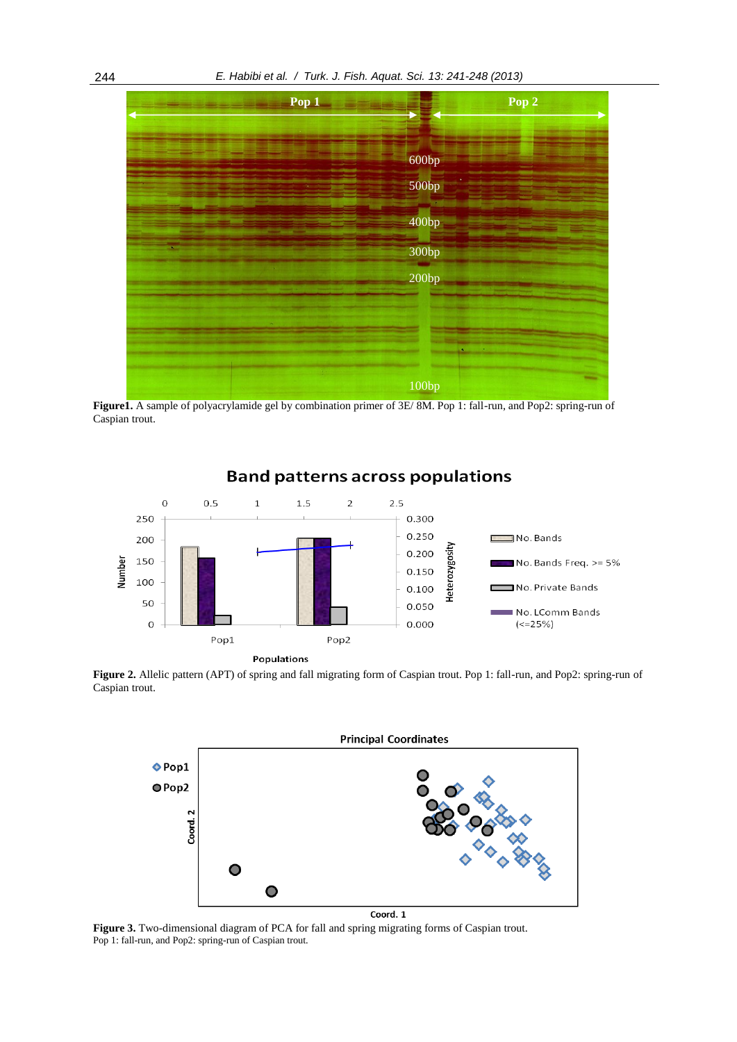

**Figure1.** A sample of polyacrylamide gel by combination primer of 3E/ 8M. Pop 1: fall-run, and Pop2: spring-run of Caspian trout.



# **Band patterns across populations**

**Figure 2.** Allelic pattern (APT) of spring and fall migrating form of Caspian trout. Pop 1: fall-run, and Pop2: spring-run of Caspian trout.



**Figure 3.** Two-dimensional diagram of PCA for fall and spring migrating forms of Caspian trout. Pop 1: fall-run, and Pop2: spring-run of Caspian trout.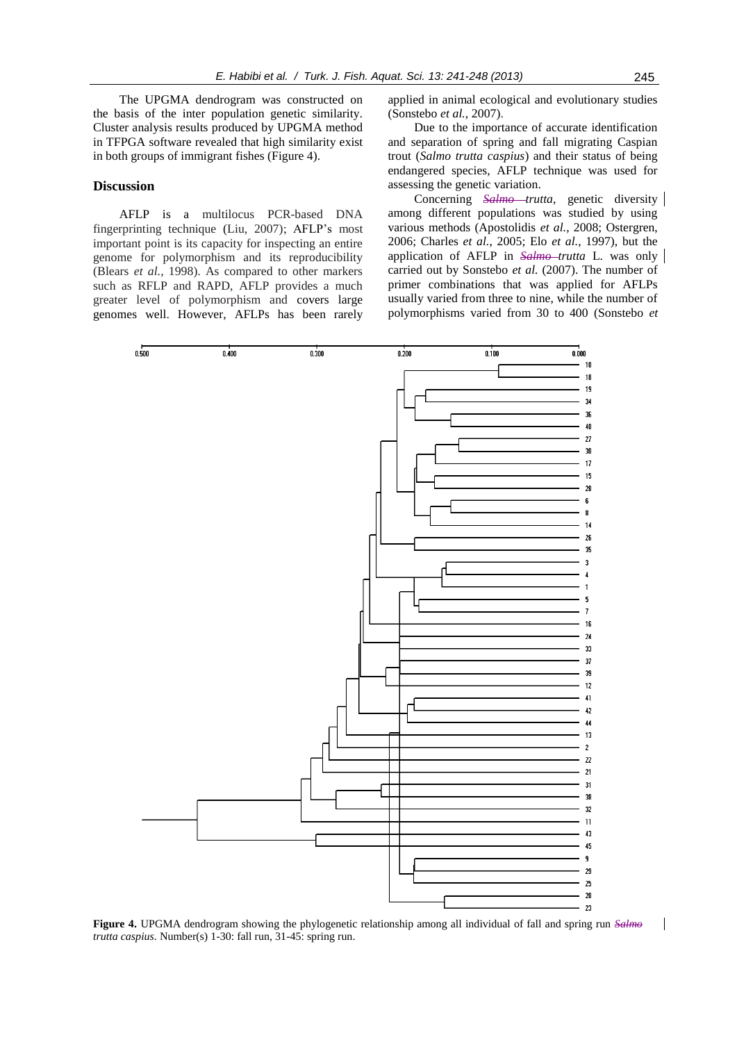The UPGMA dendrogram was constructed on the basis of the inter population genetic similarity. Cluster analysis results produced by UPGMA method in TFPGA software revealed that high similarity exist in both groups of immigrant fishes (Figure 4).

## **Discussion**

AFLP is a multilocus PCR-based DNA fingerprinting technique (Liu, 2007); AFLP's most important point is its capacity for inspecting an entire genome for polymorphism and its reproducibility (Blears *et al.*, 1998). As compared to other markers such as RFLP and RAPD, AFLP provides a much greater level of polymorphism and covers large genomes well. However, AFLPs has been rarely applied in animal ecological and evolutionary studies (Sonstebo *et al.*, 2007).

Due to the importance of accurate identification and separation of spring and fall migrating Caspian trout (*Salmo trutta caspius*) and their status of being endangered species, AFLP technique was used for assessing the genetic variation.

Concerning *Salmo trutta*, genetic diversity among different populations was studied by using various methods (Apostolidis *et al.*, 2008; Ostergren, 2006; Charles *et al.*, 2005; Elo *et al.*, 1997), but the application of AFLP in *Salmo trutta* L. was only carried out by Sonstebo *et al.* (2007). The number of primer combinations that was applied for AFLPs usually varied from three to nine, while the number of polymorphisms varied from 30 to 400 (Sonstebo *et* 



**Figure 4.** UPGMA dendrogram showing the phylogenetic relationship among all individual of fall and spring run *Salmo trutta caspius*. Number(s) 1-30: fall run, 31-45: spring run.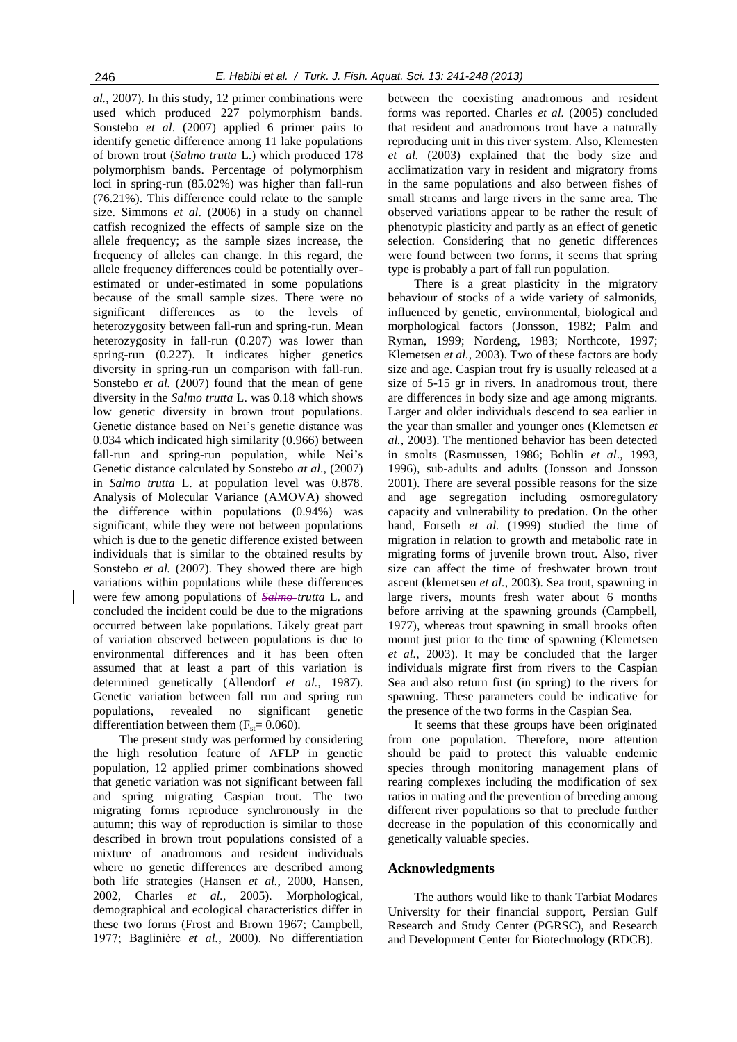*al.*, 2007). In this study, 12 primer combinations were used which produced 227 polymorphism bands. Sonstebo *et al*. (2007) applied 6 primer pairs to identify genetic difference among 11 lake populations of brown trout (*Salmo trutta* L.) which produced 178 polymorphism bands. Percentage of polymorphism loci in spring-run (85.02%) was higher than fall-run (76.21%). This difference could relate to the sample size. Simmons *et al*. (2006) in a study on channel catfish recognized the effects of sample size on the allele frequency; as the sample sizes increase, the frequency of alleles can change. In this regard, the allele frequency differences could be potentially overestimated or under-estimated in some populations because of the small sample sizes. There were no significant differences as to the levels of heterozygosity between fall-run and spring-run. Mean heterozygosity in fall-run (0.207) was lower than spring-run (0.227). It indicates higher genetics diversity in spring-run un comparison with fall-run. Sonstebo *et al.* (2007) found that the mean of gene diversity in the *Salmo trutta* L. was 0.18 which shows low genetic diversity in brown trout populations. Genetic distance based on Nei's genetic distance was 0.034 which indicated high similarity (0.966) between fall-run and spring-run population, while Nei's Genetic distance calculated by Sonstebo *at al*., (2007) in *Salmo trutta* L. at population level was 0.878. Analysis of Molecular Variance (AMOVA) showed the difference within populations (0.94%) was significant, while they were not between populations which is due to the genetic difference existed between individuals that is similar to the obtained results by Sonstebo et al. (2007). They showed there are high variations within populations while these differences were few among populations of *Salmo trutta* L. and concluded the incident could be due to the migrations occurred between lake populations. Likely great part of variation observed between populations is due to environmental differences and it has been often assumed that at least a part of this variation is determined genetically (Allendorf *et al.*, 1987). Genetic variation between fall run and spring run populations, revealed no significant genetic differentiation between them  $(F_{st}= 0.060)$ .

The present study was performed by considering the high resolution feature of AFLP in genetic population, 12 applied primer combinations showed that genetic variation was not significant between fall and spring migrating Caspian trout. The two migrating forms reproduce synchronously in the autumn; this way of reproduction is similar to those described in brown trout populations consisted of a mixture of anadromous and resident individuals where no genetic differences are described among both life strategies (Hansen *et al.*, 2000, Hansen, 2002, Charles *et al.*, 2005). Morphological, demographical and ecological characteristics differ in these two forms (Frost and Brown 1967; Campbell, 1977; Baglinière *et al.*, 2000). No differentiation

between the coexisting anadromous and resident forms was reported. Charles *et al.* (2005) concluded that resident and anadromous trout have a naturally reproducing unit in this river system. Also, Klemesten *et al.* (2003) explained that the body size and acclimatization vary in resident and migratory froms in the same populations and also between fishes of small streams and large rivers in the same area. The observed variations appear to be rather the result of phenotypic plasticity and partly as an effect of genetic selection. Considering that no genetic differences were found between two forms, it seems that spring type is probably a part of fall run population.

There is a great plasticity in the migratory behaviour of stocks of a wide variety of salmonids, influenced by genetic, environmental, biological and morphological factors (Jonsson, 1982; Palm and Ryman, 1999; Nordeng, 1983; Northcote, 1997; Klemetsen *et al.*, 2003). Two of these factors are body size and age. Caspian trout fry is usually released at a size of 5-15 gr in rivers. In anadromous trout, there are differences in body size and age among migrants. Larger and older individuals descend to sea earlier in the year than smaller and younger ones (Klemetsen *et al.*, 2003). The mentioned behavior has been detected in smolts (Rasmussen, 1986; Bohlin *et al*., 1993, 1996), sub-adults and adults (Jonsson and Jonsson 2001). There are several possible reasons for the size and age segregation including osmoregulatory capacity and vulnerability to predation. On the other hand, Forseth *et al.* (1999) studied the time of migration in relation to growth and metabolic rate in migrating forms of juvenile brown trout. Also, river size can affect the time of freshwater brown trout ascent (klemetsen *et al.*, 2003). Sea trout, spawning in large rivers, mounts fresh water about 6 months before arriving at the spawning grounds (Campbell, 1977), whereas trout spawning in small brooks often mount just prior to the time of spawning (Klemetsen *et al.*, 2003). It may be concluded that the larger individuals migrate first from rivers to the Caspian Sea and also return first (in spring) to the rivers for spawning. These parameters could be indicative for the presence of the two forms in the Caspian Sea.

It seems that these groups have been originated from one population. Therefore, more attention should be paid to protect this valuable endemic species through monitoring management plans of rearing complexes including the modification of sex ratios in mating and the prevention of breeding among different river populations so that to preclude further decrease in the population of this economically and genetically valuable species.

#### **Acknowledgments**

The authors would like to thank Tarbiat Modares University for their financial support, Persian Gulf Research and Study Center (PGRSC), and Research and Development Center for Biotechnology (RDCB).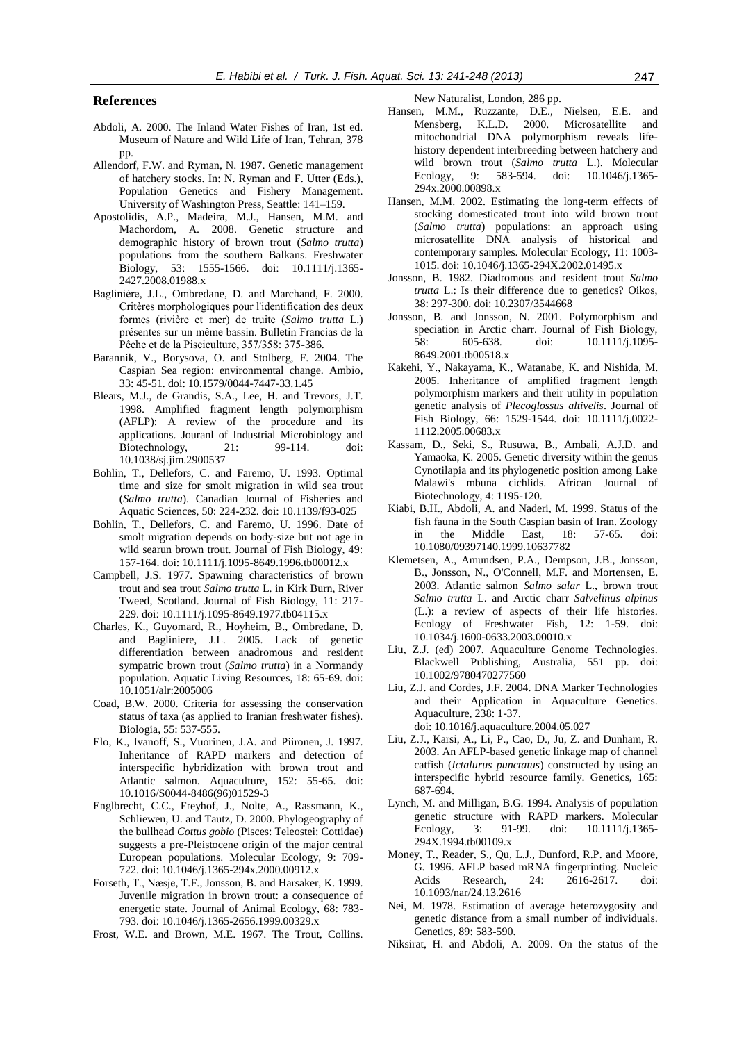# **References**

- Abdoli, A. 2000. The Inland Water Fishes of Iran, 1st ed. Museum of Nature and Wild Life of Iran, Tehran, 378 pp.
- Allendorf, F.W. and Ryman, N. 1987. Genetic management of hatchery stocks. In: N. Ryman and F. Utter (Eds.), Population Genetics and Fishery Management. University of Washington Press, Seattle: 141–159.
- Apostolidis, A.P., Madeira, M.J., Hansen, M.M. and Machordom, A. 2008. Genetic structure and demographic history of brown trout (*Salmo trutta*) populations from the southern Balkans. Freshwater Biology, 53: 1555-1566. doi: 10.1111/j.1365- 2427.2008.01988.x
- Baglinière, J.L., Ombredane, D. and Marchand, F. 2000. Critères morphologiques pour l'identification des deux formes (rivière et mer) de truite (*Salmo trutta* L.) présentes sur un même bassin. Bulletin Francias de la Pêche et de la Pisciculture, 357/358: 375-386.
- Barannik, V., Borysova, O. and Stolberg, F. 2004. The Caspian Sea region: environmental change. Ambio, 33: 45-51. doi: 10.1579/0044-7447-33.1.45
- Blears, M.J., de Grandis, S.A., Lee, H. and Trevors, J.T. 1998. Amplified fragment length polymorphism (AFLP): A review of the procedure and its applications. Jouranl of Industrial Microbiology and Biotechnology, 21: 99-114. doi: 10.1038/sj.jim.2900537
- Bohlin, T., Dellefors, C. and Faremo, U. 1993. Optimal time and size for smolt migration in wild sea trout (*Salmo trutta*). Canadian Journal of Fisheries and Aquatic Sciences, 50: 224-232. doi: 10.1139/f93-025
- Bohlin, T., Dellefors, C. and Faremo, U. 1996. Date of smolt migration depends on body-size but not age in wild searun brown trout. Journal of Fish Biology, 49: 157-164. doi: 10.1111/j.1095-8649.1996.tb00012.x
- Campbell, J.S. 1977. Spawning characteristics of brown trout and sea trout *Salmo trutta* L. in Kirk Burn, River Tweed, Scotland. Journal of Fish Biology, 11: 217- 229. doi: 10.1111/j.1095-8649.1977.tb04115.x
- Charles, K., Guyomard, R., Hoyheim, B., Ombredane, D. and Bagliniere, J.L. 2005. Lack of genetic differentiation between anadromous and resident sympatric brown trout (*Salmo trutta*) in a Normandy population. Aquatic Living Resources, 18: 65-69. doi: 10.1051/alr:2005006
- Coad, B.W. 2000. Criteria for assessing the conservation status of taxa (as applied to Iranian freshwater fishes). Biologia, 55: 537-555.
- Elo, K., Ivanoff, S., Vuorinen, J.A. and Piironen, J. 1997. Inheritance of RAPD markers and detection of interspecific hybridization with brown trout and Atlantic salmon. Aquaculture, 152: 55-65. doi: 10.1016/S0044-8486(96)01529-3
- Englbrecht, C.C., Freyhof, J., Nolte, A., Rassmann, K., Schliewen, U. and Tautz, D. 2000. Phylogeography of the bullhead *Cottus gobio* (Pisces: Teleostei: Cottidae) suggests a pre-Pleistocene origin of the major central European populations. Molecular Ecology, 9: 709- 722. doi: 10.1046/j.1365-294x.2000.00912.x
- Forseth, T., Næsje, T.F., Jonsson, B. and Harsaker, K. 1999. Juvenile migration in brown trout: a consequence of energetic state. Journal of Animal Ecology, 68: 783- 793. doi: 10.1046/j.1365-2656.1999.00329.x
- Frost, W.E. and Brown, M.E. 1967. The Trout, Collins.

New Naturalist, London, 286 pp.

- Hansen, M.M., Ruzzante, D.E., Nielsen, E.E. and Mensberg, K.L.D. 2000. Microsatellite and mitochondrial DNA polymorphism reveals lifehistory dependent interbreeding between hatchery and wild brown trout (*Salmo trutta* L.). Molecular Ecology, 9: 583-594. doi: 10.1046/j.1365- 294x.2000.00898.x
- Hansen, M.M. 2002. Estimating the long-term effects of stocking domesticated trout into wild brown trout (*Salmo trutta*) populations: an approach using microsatellite DNA analysis of historical and contemporary samples. Molecular Ecology, 11: 1003- 1015. doi: 10.1046/j.1365-294X.2002.01495.x
- Jonsson, B. 1982. Diadromous and resident trout *Salmo trutta* L.: Is their difference due to genetics? Oikos, 38: 297-300. doi: 10.2307/3544668
- Jonsson, B. and Jonsson, N. 2001. Polymorphism and speciation in Arctic charr. Journal of Fish Biology, 58: 605-638. doi: 10.1111/j.1095- 8649.2001.tb00518.x
- Kakehi, Y., Nakayama, K., Watanabe, K. and Nishida, M. 2005. Inheritance of amplified fragment length polymorphism markers and their utility in population genetic analysis of *Plecoglossus altivelis*. Journal of Fish Biology, 66: 1529-1544. doi: 10.1111/j.0022- 1112.2005.00683.x
- Kassam, D., Seki, S., Rusuwa, B., Ambali, A.J.D. and Yamaoka, K. 2005. Genetic diversity within the genus Cynotilapia and its phylogenetic position among Lake Malawi's mbuna cichlids. African Journal of Biotechnology, 4: 1195-120.
- Kiabi, B.H., Abdoli, A. and Naderi, M. 1999. Status of the fish fauna in the South Caspian basin of Iran. Zoology in the Middle East, 18: 57-65. doi: 10.1080/09397140.1999.10637782
- Klemetsen, A., Amundsen, P.A., Dempson, J.B., Jonsson, B., Jonsson, N., O'Connell, M.F. and Mortensen, E. 2003. Atlantic salmon *Salmo salar* L., brown trout *Salmo trutta* L. and Arctic charr *Salvelinus alpinus*  (L.): a review of aspects of their life histories. Ecology of Freshwater Fish, 12: 1-59. doi: 10.1034/j.1600-0633.2003.00010.x
- Liu, Z.J. (ed) 2007. Aquaculture Genome Technologies. Blackwell Publishing, Australia, 551 pp. doi: 10.1002/9780470277560
- Liu, Z.J. and Cordes, J.F. 2004. DNA Marker Technologies and their Application in Aquaculture Genetics. Aquaculture, 238: 1-37. doi: 10.1016/j.aquaculture.2004.05.027
- Liu, Z.J., Karsi, A., Li, P., Cao, D., Ju, Z. and Dunham, R. 2003. An AFLP-based genetic linkage map of channel catfish (*Ictalurus punctatus*) constructed by using an interspecific hybrid resource family. Genetics, 165: 687-694.
- Lynch, M. and Milligan, B.G. 1994. Analysis of population genetic structure with RAPD markers. Molecular Ecology, 3: 91-99. doi: 10.1111/j.1365- 294X.1994.tb00109.x
- Money, T., Reader, S., Qu, L.J., Dunford, R.P. and Moore, G. 1996. AFLP based mRNA fingerprinting. Nucleic Acids Research, 24: 2616-2617. doi: 10.1093/nar/24.13.2616
- Nei, M. 1978. Estimation of average heterozygosity and genetic distance from a small number of individuals. Genetics, 89: 583-590.
- Niksirat, H. and Abdoli, A. 2009. On the status of the